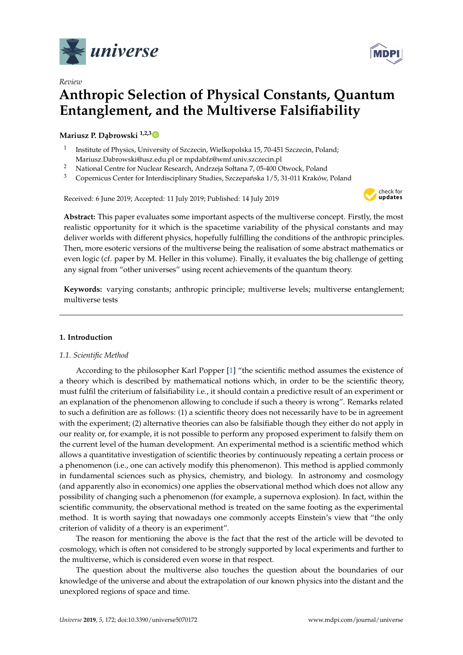

*Review*



# **Anthropic Selection of Physical Constants, Quantum Entanglement, and the Multiverse Falsifiability**

# **Mariusz P. Dąbrowski** <sup>1,2,[3](https://orcid.org/0000-0001-8722-9470)</sup>

- 1 Institute of Physics, University of Szczecin, Wielkopolska 15, 70-451 Szczecin, Poland; Mariusz.Dabrowski@usz.edu.pl or mpdabfz@wmf.univ.szczecin.pl
- <sup>2</sup> National Centre for Nuclear Research, Andrzeja Sołtana 7, 05-400 Otwock, Poland
- <sup>3</sup> Copernicus Center for Interdisciplinary Studies, Szczepańska 1/5, 31-011 Kraków, Poland

Received: 6 June 2019; Accepted: 11 July 2019; Published: 14 July 2019



**Abstract:** This paper evaluates some important aspects of the multiverse concept. Firstly, the most realistic opportunity for it which is the spacetime variability of the physical constants and may deliver worlds with different physics, hopefully fulfilling the conditions of the anthropic principles. Then, more esoteric versions of the multiverse being the realisation of some abstract mathematics or even logic (cf. paper by M. Heller in this volume). Finally, it evaluates the big challenge of getting any signal from "other universes" using recent achievements of the quantum theory.

**Keywords:** varying constants; anthropic principle; multiverse levels; multiverse entanglement; multiverse tests

# **1. Introduction**

# *1.1. Scientific Method*

According to the philosopher Karl Popper [\[1\]](#page-17-0) "the scientific method assumes the existence of a theory which is described by mathematical notions which, in order to be the scientific theory, must fulfil the criterium of falsifiability i.e., it should contain a predictive result of an experiment or an explanation of the phenomenon allowing to conclude if such a theory is wrong". Remarks related to such a definition are as follows: (1) a scientific theory does not necessarily have to be in agreement with the experiment; (2) alternative theories can also be falsifiable though they either do not apply in our reality or, for example, it is not possible to perform any proposed experiment to falsify them on the current level of the human development. An experimental method is a scientific method which allows a quantitative investigation of scientific theories by continuously repeating a certain process or a phenomenon (i.e., one can actively modify this phenomenon). This method is applied commonly in fundamental sciences such as physics, chemistry, and biology. In astronomy and cosmology (and apparently also in economics) one applies the observational method which does not allow any possibility of changing such a phenomenon (for example, a supernova explosion). In fact, within the scientific community, the observational method is treated on the same footing as the experimental method. It is worth saying that nowadays one commonly accepts Einstein's view that "the only criterion of validity of a theory is an experiment".

The reason for mentioning the above is the fact that the rest of the article will be devoted to cosmology, which is often not considered to be strongly supported by local experiments and further to the multiverse, which is considered even worse in that respect.

The question about the multiverse also touches the question about the boundaries of our knowledge of the universe and about the extrapolation of our known physics into the distant and the unexplored regions of space and time.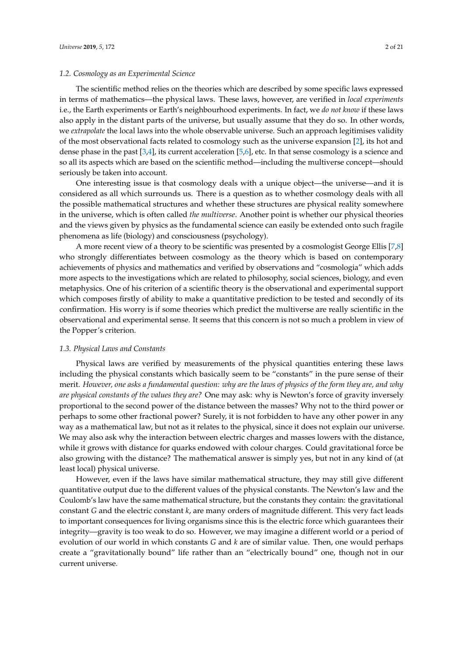# *1.2. Cosmology as an Experimental Science*

The scientific method relies on the theories which are described by some specific laws expressed in terms of mathematics—the physical laws. These laws, however, are verified in *local experiments* i.e., the Earth experiments or Earth's neighbourhood experiments. In fact, we *do not know* if these laws also apply in the distant parts of the universe, but usually assume that they do so. In other words, we *extrapolate* the local laws into the whole observable universe. Such an approach legitimises validity of the most observational facts related to cosmology such as the universe expansion [\[2\]](#page-17-1), its hot and dense phase in the past [\[3](#page-17-2)[,4\]](#page-18-0), its current acceleration [\[5](#page-18-1)[,6\]](#page-18-2), etc. In that sense cosmology is a science and so all its aspects which are based on the scientific method—including the multiverse concept—should seriously be taken into account.

One interesting issue is that cosmology deals with a unique object—the universe—and it is considered as all which surrounds us. There is a question as to whether cosmology deals with all the possible mathematical structures and whether these structures are physical reality somewhere in the universe, which is often called *the multiverse*. Another point is whether our physical theories and the views given by physics as the fundamental science can easily be extended onto such fragile phenomena as life (biology) and consciousness (psychology).

A more recent view of a theory to be scientific was presented by a cosmologist George Ellis [\[7](#page-18-3)[,8\]](#page-18-4) who strongly differentiates between cosmology as the theory which is based on contemporary achievements of physics and mathematics and verified by observations and "cosmologia" which adds more aspects to the investigations which are related to philosophy, social sciences, biology, and even metaphysics. One of his criterion of a scientific theory is the observational and experimental support which composes firstly of ability to make a quantitative prediction to be tested and secondly of its confirmation. His worry is if some theories which predict the multiverse are really scientific in the observational and experimental sense. It seems that this concern is not so much a problem in view of the Popper's criterion.

#### *1.3. Physical Laws and Constants*

Physical laws are verified by measurements of the physical quantities entering these laws including the physical constants which basically seem to be "constants" in the pure sense of their merit. *However, one asks a fundamental question: why are the laws of physics of the form they are, and why are physical constants of the values they are?* One may ask: why is Newton's force of gravity inversely proportional to the second power of the distance between the masses? Why not to the third power or perhaps to some other fractional power? Surely, it is not forbidden to have any other power in any way as a mathematical law, but not as it relates to the physical, since it does not explain our universe. We may also ask why the interaction between electric charges and masses lowers with the distance, while it grows with distance for quarks endowed with colour charges. Could gravitational force be also growing with the distance? The mathematical answer is simply yes, but not in any kind of (at least local) physical universe.

However, even if the laws have similar mathematical structure, they may still give different quantitative output due to the different values of the physical constants. The Newton's law and the Coulomb's law have the same mathematical structure, but the constants they contain: the gravitational constant *G* and the electric constant *k*, are many orders of magnitude different. This very fact leads to important consequences for living organisms since this is the electric force which guarantees their integrity—gravity is too weak to do so. However, we may imagine a different world or a period of evolution of our world in which constants *G* and *k* are of similar value. Then, one would perhaps create a "gravitationally bound" life rather than an "electrically bound" one, though not in our current universe.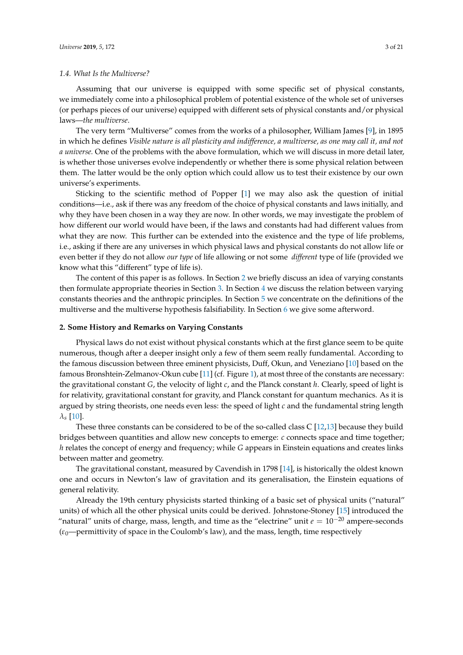# *1.4. What Is the Multiverse?*

Assuming that our universe is equipped with some specific set of physical constants, we immediately come into a philosophical problem of potential existence of the whole set of universes (or perhaps pieces of our universe) equipped with different sets of physical constants and/or physical laws—*the multiverse*.

The very term "Multiverse" comes from the works of a philosopher, William James [\[9\]](#page-18-5), in 1895 in which he defines *Visible nature is all plasticity and indifference, a multiverse, as one may call it, and not a universe.* One of the problems with the above formulation, which we will discuss in more detail later, is whether those universes evolve independently or whether there is some physical relation between them. The latter would be the only option which could allow us to test their existence by our own universe's experiments.

Sticking to the scientific method of Popper [\[1\]](#page-17-0) we may also ask the question of initial conditions—i.e., ask if there was any freedom of the choice of physical constants and laws initially, and why they have been chosen in a way they are now. In other words, we may investigate the problem of how different our world would have been, if the laws and constants had had different values from what they are now. This further can be extended into the existence and the type of life problems, i.e., asking if there are any universes in which physical laws and physical constants do not allow life or even better if they do not allow *our type* of life allowing or not some *different* type of life (provided we know what this "different" type of life is).

The content of this paper is as follows. In Section [2](#page-2-0) we briefly discuss an idea of varying constants then formulate appropriate theories in Section [3.](#page-4-0) In Section [4](#page-9-0) we discuss the relation between varying constants theories and the anthropic principles. In Section [5](#page-13-0) we concentrate on the definitions of the multiverse and the multiverse hypothesis falsifiability. In Section [6](#page-17-3) we give some afterword.

# <span id="page-2-0"></span>**2. Some History and Remarks on Varying Constants**

Physical laws do not exist without physical constants which at the first glance seem to be quite numerous, though after a deeper insight only a few of them seem really fundamental. According to the famous discussion between three eminent physicists, Duff, Okun, and Veneziano [\[10\]](#page-18-6) based on the famous Bronshtein-Zelmanov-Okun cube [\[11\]](#page-18-7) (cf. Figure [1\)](#page-3-0), at most three of the constants are necessary: the gravitational constant *G*, the velocity of light *c*, and the Planck constant *h*. Clearly, speed of light is for relativity, gravitational constant for gravity, and Planck constant for quantum mechanics. As it is argued by string theorists, one needs even less: the speed of light *c* and the fundamental string length  $\lambda$ <sup>*s*</sup> [\[10\]](#page-18-6).

These three constants can be considered to be of the so-called class C [\[12](#page-18-8)[,13\]](#page-18-9) because they build bridges between quantities and allow new concepts to emerge: *c* connects space and time together; *h* relates the concept of energy and frequency; while *G* appears in Einstein equations and creates links between matter and geometry.

The gravitational constant, measured by Cavendish in 1798 [\[14\]](#page-18-10), is historically the oldest known one and occurs in Newton's law of gravitation and its generalisation, the Einstein equations of general relativity.

Already the 19th century physicists started thinking of a basic set of physical units ("natural" units) of which all the other physical units could be derived. Johnstone-Stoney [\[15\]](#page-18-11) introduced the "natural" units of charge, mass, length, and time as the "electrine" unit  $e = 10^{-20}$  ampere-seconds (*ε*0—permittivity of space in the Coulomb's law), and the mass, length, time respectively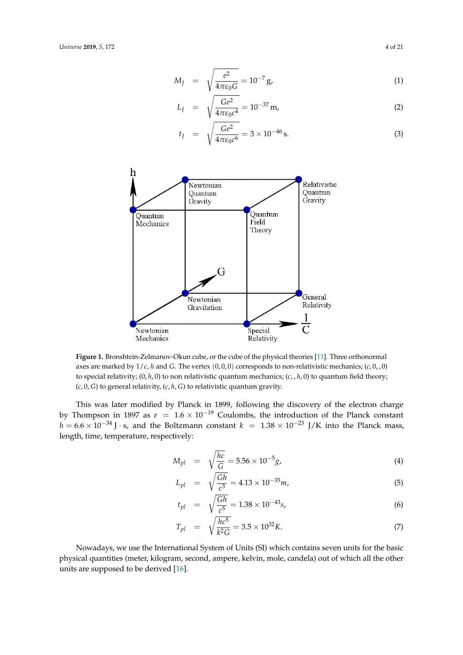$$
M_J = \sqrt{\frac{e^2}{4\pi\varepsilon_0 G}} = 10^{-7} \,\mathrm{g},\tag{1}
$$

$$
L_J = \sqrt{\frac{Ge^2}{4\pi\varepsilon_0 c^4}} = 10^{-37} \,\text{m},\tag{2}
$$

$$
t_J = \sqrt{\frac{Ge^2}{4\pi\varepsilon_0 c^6}} = 3 \times 10^{-46} \,\mathrm{s}.\tag{3}
$$

<span id="page-3-0"></span>

**Figure 1.** Bronshtein-Zelmanov-Okun cube, or the cube of the physical theories [\[11\]](#page-18-7). Three orthonormal axes are marked by  $1/c$ , *h* and *G*. The vertex  $(0,0,0)$  corresponds to non-relativistic mechanics;  $(c, 0, 0)$ to special relativity; (0, *h*, 0) to non relativistic quantum mechanics; (*c*, , *h*, 0) to quantum field theory; (*c*, 0, *G*) to general relativity, (*c*, *h*, *G*) to relativistic quantum gravity.

This was later modified by Planck in 1899, following the discovery of the electron charge by Thompson in 1897 as  $e = 1.6 \times 10^{-19}$  Coulombs, the introduction of the Planck constant  $h = 6.6 \times 10^{-34}$  J · s, and the Boltzmann constant  $k = 1.38 \times 10^{-23}$  J/K into the Planck mass, length, time, temperature, respectively:

$$
M_{pl} = \sqrt{\frac{hc}{G}} = 5.56 \times 10^{-5} g,
$$
\n(4)

$$
L_{pl} = \sqrt{\frac{Gh}{c^3}} = 4.13 \times 10^{-35} m,
$$
\n(5)

$$
t_{pl} = \sqrt{\frac{Gh}{c^5}} = 1.38 \times 10^{-43} s,
$$
\n(6)

$$
T_{pl} = \sqrt{\frac{hc^5}{k^2 G}} = 3.5 \times 10^{32} K. \tag{7}
$$

Nowadays, we use the International System of Units (SI) which contains seven units for the basic physical quantities (meter, kilogram, second, ampere, kelvin, mole, candela) out of which all the other units are supposed to be derived [\[16\]](#page-18-12).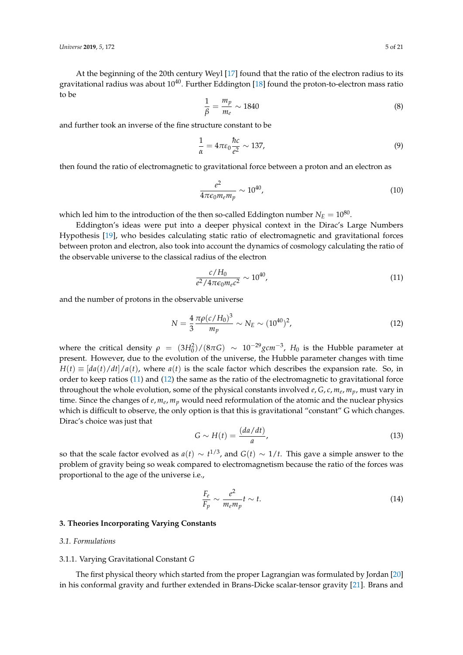At the beginning of the 20th century Weyl [\[17\]](#page-18-13) found that the ratio of the electron radius to its gravitational radius was about  $10^{40}$ . Further Eddington [\[18\]](#page-18-14) found the proton-to-electron mass ratio to be

$$
\frac{1}{\beta} = \frac{m_p}{m_e} \sim 1840\tag{8}
$$

and further took an inverse of the fine structure constant to be

<span id="page-4-3"></span>
$$
\frac{1}{\alpha} = 4\pi\varepsilon_0 \frac{\hbar c}{e^2} \sim 137,\tag{9}
$$

then found the ratio of electromagnetic to gravitational force between a proton and an electron as

$$
\frac{e^2}{4\pi\epsilon_0 m_e m_p} \sim 10^{40},\tag{10}
$$

which led him to the introduction of the then so-called Eddington number  $N_E = 10^{80}$ .

Eddington's ideas were put into a deeper physical context in the Dirac's Large Numbers Hypothesis [\[19\]](#page-18-15), who besides calculating static ratio of electromagnetic and gravitational forces between proton and electron, also took into account the dynamics of cosmology calculating the ratio of the observable universe to the classical radius of the electron

<span id="page-4-1"></span>
$$
\frac{c/H_0}{e^2/4\pi\epsilon_0 m_e c^2} \sim 10^{40},\tag{11}
$$

and the number of protons in the observable universe

<span id="page-4-2"></span>
$$
N = \frac{4}{3} \frac{\pi \rho (c/H_0)^3}{m_p} \sim N_E \sim (10^{40})^2,
$$
\n(12)

where the critical density  $\rho = (3H_0^2)/(8\pi G) \sim 10^{-29} gcm^{-3}$ ,  $H_0$  is the Hubble parameter at present. However, due to the evolution of the universe, the Hubble parameter changes with time  $H(t) \equiv [da(t)/dt]/a(t)$ , where  $a(t)$  is the scale factor which describes the expansion rate. So, in order to keep ratios [\(11\)](#page-4-1) and [\(12\)](#page-4-2) the same as the ratio of the electromagnetic to gravitational force throughout the whole evolution, some of the physical constants involved *e*, *G*, *c*, *m<sup>e</sup>* , *mp*, must vary in time. Since the changes of *e*,  $m_e$ ,  $m_p$  would need reformulation of the atomic and the nuclear physics which is difficult to observe, the only option is that this is gravitational "constant" G which changes. Dirac's choice was just that

$$
G \sim H(t) = \frac{(da/dt)}{a},\tag{13}
$$

so that the scale factor evolved as  $a(t) \sim t^{1/3}$ , and  $G(t) \sim 1/t$ . This gave a simple answer to the problem of gravity being so weak compared to electromagnetism because the ratio of the forces was proportional to the age of the universe i.e.,

$$
\frac{F_e}{F_p} \sim \frac{e^2}{m_e m_p} t \sim t.
$$
\n(14)

#### <span id="page-4-0"></span>**3. Theories Incorporating Varying Constants**

# *3.1. Formulations*

## 3.1.1. Varying Gravitational Constant *G*

The first physical theory which started from the proper Lagrangian was formulated by Jordan [\[20\]](#page-18-16) in his conformal gravity and further extended in Brans-Dicke scalar-tensor gravity [\[21\]](#page-18-17). Brans and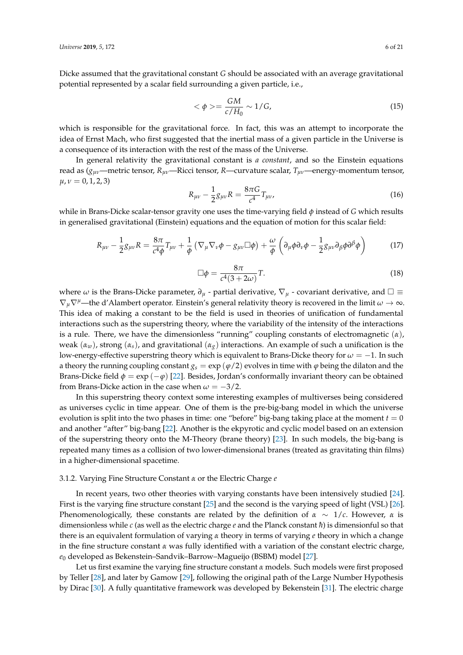Dicke assumed that the gravitational constant *G* should be associated with an average gravitational potential represented by a scalar field surrounding a given particle, i.e.,

$$
\langle \phi \rangle = \frac{GM}{c/H_0} \sim 1/G,\tag{15}
$$

which is responsible for the gravitational force. In fact, this was an attempt to incorporate the idea of Ernst Mach, who first suggested that the inertial mass of a given particle in the Universe is a consequence of its interaction with the rest of the mass of the Universe.

In general relativity the gravitational constant is *a constant*, and so the Einstein equations read as (*gµν*—metric tensor, *Rµν*—Ricci tensor, *R*—curvature scalar, *Tµν*—energy-momentum tensor,  $\mu, \nu = 0, 1, 2, 3$ 

$$
R_{\mu\nu} - \frac{1}{2}g_{\mu\nu}R = \frac{8\pi G}{c^4}T_{\mu\nu},
$$
\n(16)

while in Brans-Dicke scalar-tensor gravity one uses the time-varying field *φ* instead of *G* which results in generalised gravitational (Einstein) equations and the equation of motion for this scalar field:

$$
R_{\mu\nu} - \frac{1}{2}g_{\mu\nu}R = \frac{8\pi}{c^4\phi}T_{\mu\nu} + \frac{1}{\phi}\left(\nabla_{\mu}\nabla_{\nu}\phi - g_{\mu\nu}\Box\phi\right) + \frac{\omega}{\phi}\left(\partial_{\mu}\phi\partial_{\nu}\phi - \frac{1}{2}g_{\mu\nu}\partial_{\beta}\phi\partial^{\beta}\phi\right)
$$
(17)

$$
\Box \phi = \frac{8\pi}{c^4 (3 + 2\omega)} T. \tag{18}
$$

where  $\omega$  is the Brans-Dicke parameter,  $\partial_{\mu}$  - partial derivative,  $\nabla_{\mu}$  - covariant derivative, and  $\square \equiv$  $\nabla_{\mu}\nabla^{\mu}$ —the d'Alambert operator. Einstein's general relativity theory is recovered in the limit  $\omega \to \infty$ . This idea of making a constant to be the field is used in theories of unification of fundamental interactions such as the superstring theory, where the variability of the intensity of the interactions is a rule. There, we have the dimensionless "running" coupling constants of electromagnetic (*α*), weak  $(\alpha_w)$ , strong  $(\alpha_s)$ , and gravitational  $(\alpha_g)$  interactions. An example of such a unification is the low-energy-effective superstring theory which is equivalent to Brans-Dicke theory for *ω* = −1. In such a theory the running coupling constant  $g_s = \exp(\varphi/2)$  evolves in time with  $\varphi$  being the dilaton and the Brans-Dicke field  $\phi = \exp(-\varphi)$  [\[22\]](#page-18-18). Besides, Jordan's conformally invariant theory can be obtained from Brans-Dicke action in the case when  $\omega = -3/2$ .

In this superstring theory context some interesting examples of multiverses being considered as universes cyclic in time appear. One of them is the pre-big-bang model in which the universe evolution is split into the two phases in time: one "before" big-bang taking place at the moment  $t = 0$ and another "after" big-bang [\[22\]](#page-18-18). Another is the ekpyrotic and cyclic model based on an extension of the superstring theory onto the M-Theory (brane theory) [\[23\]](#page-18-19). In such models, the big-bang is repeated many times as a collision of two lower-dimensional branes (treated as gravitating thin films) in a higher-dimensional spacetime.

#### 3.1.2. Varying Fine Structure Constant *α* or the Electric Charge *e*

In recent years, two other theories with varying constants have been intensively studied [\[24\]](#page-18-20). First is the varying fine structure constant [\[25\]](#page-18-21) and the second is the varying speed of light (VSL) [\[26\]](#page-18-22). Phenomenologically, these constants are related by the definition of  $\alpha \sim 1/c$ . However,  $\alpha$  is dimensionless while *c* (as well as the electric charge *e* and the Planck constant *h*) is dimensionful so that there is an equivalent formulation of varying *α* theory in terms of varying *e* theory in which a change in the fine structure constant *α* was fully identified with a variation of the constant electric charge, *e*<sup>0</sup> developed as Bekenstein–Sandvik–Barrow–Magueijo (BSBM) model [\[27\]](#page-18-23).

Let us first examine the varying fine structure constant *α* models. Such models were first proposed by Teller [\[28\]](#page-18-24), and later by Gamow [\[29\]](#page-18-25), following the original path of the Large Number Hypothesis by Dirac [\[30\]](#page-18-26). A fully quantitative framework was developed by Bekenstein [\[31\]](#page-18-27). The electric charge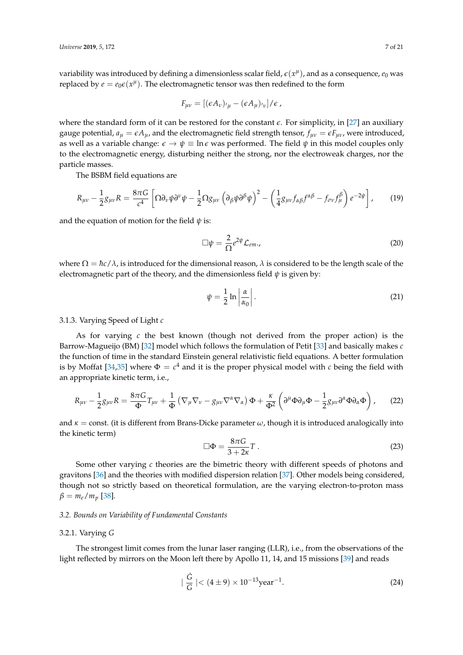variability was introduced by defining a dimensionless scalar field,  $\epsilon(x^{\mu})$ , and as a consequence,  $e_0$  was replaced by  $e = e_0 \epsilon(x^{\mu})$ . The electromagnetic tensor was then redefined to the form

$$
F_{\mu\nu} = [(\epsilon A_{\nu})_{\nu\mu} - (\epsilon A_{\mu})_{\nu\nu}]/\epsilon
$$

where the standard form of it can be restored for the constant  $\epsilon$ . For simplicity, in [\[27\]](#page-18-23) an auxiliary gauge potential,  $a_{\mu} = \epsilon A_{\mu}$ , and the electromagnetic field strength tensor,  $f_{\mu\nu} = \epsilon F_{\mu\nu}$ , were introduced, as well as a variable change:  $\epsilon \to \psi \equiv \ln \epsilon$  was performed. The field  $\psi$  in this model couples only to the electromagnetic energy, disturbing neither the strong, nor the electroweak charges, nor the particle masses.

The BSBM field equations are

$$
R_{\mu\nu} - \frac{1}{2}g_{\mu\nu}R = \frac{8\pi G}{c^4} \left[ \Omega \partial_{\nu}\psi \partial^{\nu}\psi - \frac{1}{2} \Omega g_{\mu\nu} \left( \partial_{\beta}\psi \partial^{\beta}\psi \right)^2 - \left( \frac{1}{4}g_{\mu\nu}f_{\alpha\beta}f^{\alpha\beta} - f_{\sigma\nu}f^{\beta}_{\mu} \right) e^{-2\psi} \right],
$$
 (19)

and the equation of motion for the field *ψ* is:

$$
\Box \psi = \frac{2}{\Omega} e^{2\psi} \mathcal{L}_{em}, \qquad (20)
$$

where  $\Omega = \hbar c / \lambda$ , is introduced for the dimensional reason,  $\lambda$  is considered to be the length scale of the electromagnetic part of the theory, and the dimensionless field  $\psi$  is given by:

$$
\psi = \frac{1}{2} \ln \left| \frac{\alpha}{\alpha_0} \right|.
$$
\n(21)

# 3.1.3. Varying Speed of Light *c*

As for varying *c* the best known (though not derived from the proper action) is the Barrow-Magueijo (BM) [\[32\]](#page-18-28) model which follows the formulation of Petit [\[33\]](#page-18-29) and basically makes *c* the function of time in the standard Einstein general relativistic field equations. A better formulation is by Moffat [\[34,](#page-18-30)[35\]](#page-18-31) where  $\Phi = c^4$  and it is the proper physical model with *c* being the field with an appropriate kinetic term, i.e.,

$$
R_{\mu\nu} - \frac{1}{2}g_{\mu\nu}R = \frac{8\pi G}{\Phi}T_{\mu\nu} + \frac{1}{\Phi}(\nabla_{\mu}\nabla_{\nu} - g_{\mu\nu}\nabla^{\alpha}\nabla_{\alpha})\Phi + \frac{\kappa}{\Phi^{2}}\left(\partial^{\mu}\Phi\partial_{\mu}\Phi - \frac{1}{2}g_{\mu\nu}\partial^{\alpha}\Phi\partial_{\alpha}\Phi\right),
$$
 (22)

and  $\kappa$  = const. (it is different from Brans-Dicke parameter  $\omega$ , though it is introduced analogically into the kinetic term)

$$
\Box \Phi = \frac{8\pi G}{3 + 2\kappa} T \,. \tag{23}
$$

Some other varying *c* theories are the bimetric theory with different speeds of photons and gravitons [\[36\]](#page-18-32) and the theories with modified dispersion relation [\[37\]](#page-18-33). Other models being considered, though not so strictly based on theoretical formulation, are the varying electron-to-proton mass  $β = m_e/m_p$  [\[38\]](#page-19-0).

#### *3.2. Bounds on Variability of Fundamental Constants*

# 3.2.1. Varying *G*

The strongest limit comes from the lunar laser ranging (LLR), i.e., from the observations of the light reflected by mirrors on the Moon left there by Apollo 11, 14, and 15 missions [\[39\]](#page-19-1) and reads

$$
|\frac{\dot{G}}{G}| < (4 \pm 9) \times 10^{-13} \text{year}^{-1}.
$$
 (24)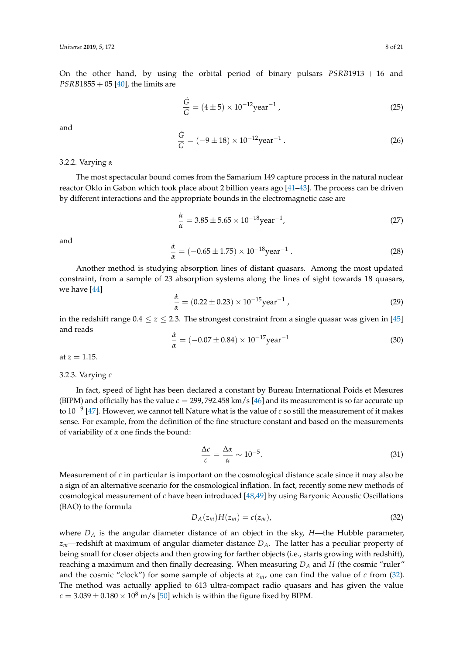On the other hand, by using the orbital period of binary pulsars *PSRB*1913 + 16 and *PSRB*1855 + 05 [\[40\]](#page-19-2), the limits are

$$
\frac{\dot{G}}{G} = (4 \pm 5) \times 10^{-12} \text{year}^{-1},\tag{25}
$$

and

$$
\frac{\dot{G}}{G} = (-9 \pm 18) \times 10^{-12} \text{year}^{-1} \,. \tag{26}
$$

#### 3.2.2. Varying *α*

The most spectacular bound comes from the Samarium 149 capture process in the natural nuclear reactor Oklo in Gabon which took place about 2 billion years ago [\[41–](#page-19-3)[43\]](#page-19-4). The process can be driven by different interactions and the appropriate bounds in the electromagnetic case are

$$
\frac{\dot{\alpha}}{\alpha} = 3.85 \pm 5.65 \times 10^{-18} \text{year}^{-1},\tag{27}
$$

and

$$
\frac{\dot{\alpha}}{\alpha} = (-0.65 \pm 1.75) \times 10^{-18} \text{year}^{-1} \,. \tag{28}
$$

Another method is studying absorption lines of distant quasars. Among the most updated constraint, from a sample of 23 absorption systems along the lines of sight towards 18 quasars, we have [\[44\]](#page-19-5)

$$
\frac{\dot{\alpha}}{\alpha} = (0.22 \pm 0.23) \times 10^{-15} \text{year}^{-1} \tag{29}
$$

in the redshift range  $0.4 \le z \le 2.3$ . The strongest constraint from a single quasar was given in [\[45\]](#page-19-6) and reads

$$
\frac{\dot{\alpha}}{\alpha} = (-0.07 \pm 0.84) \times 10^{-17} \text{year}^{-1}
$$
\n(30)

at  $z = 1.15$ .

# 3.2.3. Varying *c*

In fact, speed of light has been declared a constant by Bureau International Poids et Mesures (BIPM) and officially has the value  $c = 299$ , 792.458 km/s [\[46\]](#page-19-7) and its measurement is so far accurate up to 10−<sup>9</sup> [\[47\]](#page-19-8). However, we cannot tell Nature what is the value of *c* so still the measurement of it makes sense. For example, from the definition of the fine structure constant and based on the measurements of variability of *α* one finds the bound:

$$
\frac{\Delta c}{c} = \frac{\Delta \alpha}{\alpha} \sim 10^{-5}.\tag{31}
$$

Measurement of *c* in particular is important on the cosmological distance scale since it may also be a sign of an alternative scenario for the cosmological inflation. In fact, recently some new methods of cosmological measurement of *c* have been introduced [\[48](#page-19-9)[,49\]](#page-19-10) by using Baryonic Acoustic Oscillations (BAO) to the formula

<span id="page-7-0"></span>
$$
D_A(z_m)H(z_m) = c(z_m),\tag{32}
$$

where *D<sup>A</sup>* is the angular diameter distance of an object in the sky, *H*—the Hubble parameter, *zm*—redshift at maximum of angular diameter distance *DA*. The latter has a peculiar property of being small for closer objects and then growing for farther objects (i.e., starts growing with redshift), reaching a maximum and then finally decreasing. When measuring *D<sup>A</sup>* and *H* (the cosmic "ruler" and the cosmic "clock") for some sample of objects at  $z_m$ , one can find the value of  $c$  from [\(32\)](#page-7-0). The method was actually applied to 613 ultra-compact radio quasars and has given the value  $c = 3.039 \pm 0.180 \times 10^8$  m/s [\[50\]](#page-19-11) which is within the figure fixed by BIPM.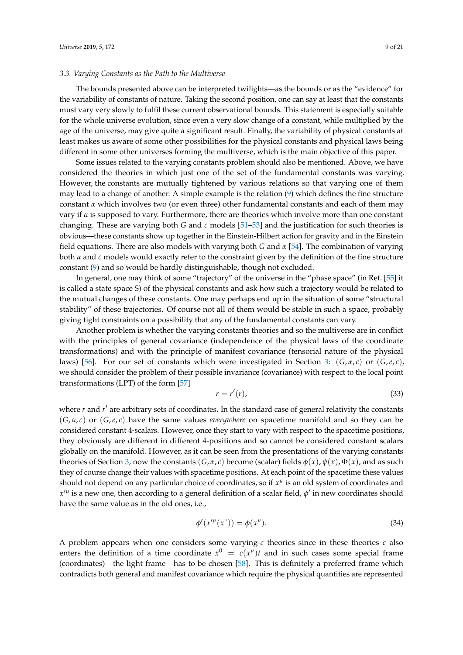## *3.3. Varying Constants as the Path to the Multiverse*

The bounds presented above can be interpreted twilights—as the bounds or as the "evidence" for the variability of constants of nature. Taking the second position, one can say at least that the constants must vary very slowly to fulfil these current observational bounds. This statement is especially suitable for the whole universe evolution, since even a very slow change of a constant, while multiplied by the age of the universe, may give quite a significant result. Finally, the variability of physical constants at least makes us aware of some other possibilities for the physical constants and physical laws being different in some other universes forming the multiverse, which is the main objective of this paper.

Some issues related to the varying constants problem should also be mentioned. Above, we have considered the theories in which just one of the set of the fundamental constants was varying. However, the constants are mutually tightened by various relations so that varying one of them may lead to a change of another. A simple example is the relation [\(9\)](#page-4-3) which defines the fine structure constant *α* which involves two (or even three) other fundamental constants and each of them may vary if *α* is supposed to vary. Furthermore, there are theories which involve more than one constant changing. These are varying both *G* and *c* models [\[51](#page-19-12)[–53\]](#page-19-13) and the justification for such theories is obvious—these constants show up together in the Einstein-Hilbert action for gravity and in the Einstein field equations. There are also models with varying both *G* and *α* [\[54\]](#page-19-14). The combination of varying both *α* and *c* models would exactly refer to the constraint given by the definition of the fine structure constant [\(9\)](#page-4-3) and so would be hardly distinguishable, though not excluded.

In general, one may think of some "trajectory" of the universe in the "phase space" (in Ref. [\[55\]](#page-19-15) it is called a state space S) of the physical constants and ask how such a trajectory would be related to the mutual changes of these constants. One may perhaps end up in the situation of some "structural stability" of these trajectories. Of course not all of them would be stable in such a space, probably giving tight constraints on a possibility that any of the fundamental constants can vary.

Another problem is whether the varying constants theories and so the multiverse are in conflict with the principles of general covariance (independence of the physical laws of the coordinate transformations) and with the principle of manifest covariance (tensorial nature of the physical laws) [\[56\]](#page-19-16). For our set of constants which were investigated in Section [3:](#page-4-0)  $(G, \alpha, c)$  or  $(G, e, c)$ , we should consider the problem of their possible invariance (covariance) with respect to the local point transformations (LPT) of the form [\[57\]](#page-19-17)

$$
r = r'(r),\tag{33}
$$

where *r* and *r'* are arbitrary sets of coordinates. In the standard case of general relativity the constants (*G*, *α*, *c*) or (*G*,*e*, *c*) have the same values *everywhere* on spacetime manifold and so they can be considered constant 4-scalars. However, once they start to vary with respect to the spacetime positions, they obviously are different in different 4-positions and so cannot be considered constant scalars globally on the manifold. However, as it can be seen from the presentations of the varying constants theories of Section [3,](#page-4-0) now the constants  $(G, α, c)$  become (scalar) fields  $φ(x), φ(x), Φ(x)$ , and as such they of course change their values with spacetime positions. At each point of the spacetime these values should not depend on any particular choice of coordinates, so if  $x^{\mu}$  is an old system of coordinates and  $x'^\mu$  is a new one, then according to a general definition of a scalar field,  $\phi'$  in new coordinates should have the same value as in the old ones, i.e.,

$$
\phi'(x'^{\mu}(x^{\nu})) = \phi(x^{\mu}).\tag{34}
$$

A problem appears when one considers some varying-*c* theories since in these theories *c* also enters the definition of a time coordinate  $x^0 = c(x^{\mu})t$  and in such cases some special frame (coordinates)—the light frame—has to be chosen [\[58\]](#page-19-18). This is definitely a preferred frame which contradicts both general and manifest covariance which require the physical quantities are represented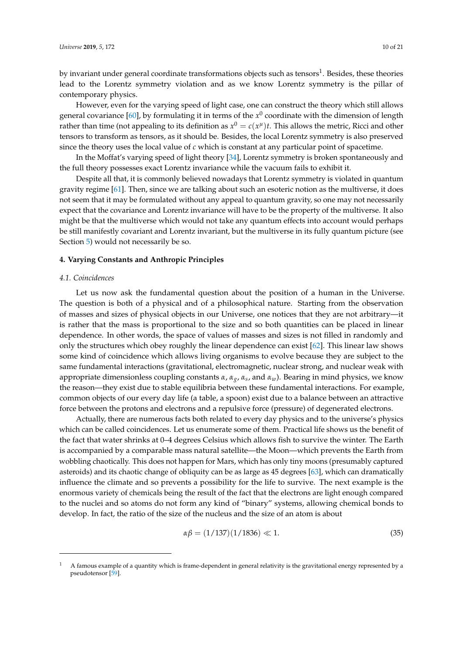by invariant under general coordinate transformations objects such as tensors $^1$ . Besides, these theories lead to the Lorentz symmetry violation and as we know Lorentz symmetry is the pillar of contemporary physics.

However, even for the varying speed of light case, one can construct the theory which still allows general covariance [\[60\]](#page-19-19), by formulating it in terms of the *x* 0 coordinate with the dimension of length rather than time (not appealing to its definition as  $x^0 = c(x^{\mu})t$ . This allows the metric, Ricci and other tensors to transform as tensors, as it should be. Besides, the local Lorentz symmetry is also preserved since the theory uses the local value of *c* which is constant at any particular point of spacetime.

In the Moffat's varying speed of light theory [\[34\]](#page-18-30), Lorentz symmetry is broken spontaneously and the full theory possesses exact Lorentz invariance while the vacuum fails to exhibit it.

Despite all that, it is commonly believed nowadays that Lorentz symmetry is violated in quantum gravity regime [\[61\]](#page-19-20). Then, since we are talking about such an esoteric notion as the multiverse, it does not seem that it may be formulated without any appeal to quantum gravity, so one may not necessarily expect that the covariance and Lorentz invariance will have to be the property of the multiverse. It also might be that the multiverse which would not take any quantum effects into account would perhaps be still manifestly covariant and Lorentz invariant, but the multiverse in its fully quantum picture (see Section [5\)](#page-13-0) would not necessarily be so.

# <span id="page-9-0"></span>**4. Varying Constants and Anthropic Principles**

## *4.1. Coincidences*

Let us now ask the fundamental question about the position of a human in the Universe. The question is both of a physical and of a philosophical nature. Starting from the observation of masses and sizes of physical objects in our Universe, one notices that they are not arbitrary—it is rather that the mass is proportional to the size and so both quantities can be placed in linear dependence. In other words, the space of values of masses and sizes is not filled in randomly and only the structures which obey roughly the linear dependence can exist [\[62\]](#page-19-21). This linear law shows some kind of coincidence which allows living organisms to evolve because they are subject to the same fundamental interactions (gravitational, electromagnetic, nuclear strong, and nuclear weak with appropriate dimensionless coupling constants *α*, *αg*, *α<sup>s</sup>* , and *αw*). Bearing in mind physics, we know the reason—they exist due to stable equilibria between these fundamental interactions. For example, common objects of our every day life (a table, a spoon) exist due to a balance between an attractive force between the protons and electrons and a repulsive force (pressure) of degenerated electrons.

Actually, there are numerous facts both related to every day physics and to the universe's physics which can be called coincidences. Let us enumerate some of them. Practical life shows us the benefit of the fact that water shrinks at 0–4 degrees Celsius which allows fish to survive the winter. The Earth is accompanied by a comparable mass natural satellite—the Moon—which prevents the Earth from wobbling chaotically. This does not happen for Mars, which has only tiny moons (presumably captured asteroids) and its chaotic change of obliquity can be as large as 45 degrees [\[63\]](#page-19-22), which can dramatically influence the climate and so prevents a possibility for the life to survive. The next example is the enormous variety of chemicals being the result of the fact that the electrons are light enough compared to the nuclei and so atoms do not form any kind of "binary" systems, allowing chemical bonds to develop. In fact, the ratio of the size of the nucleus and the size of an atom is about

$$
\alpha \beta = (1/137)(1/1836) \ll 1. \tag{35}
$$

 $1 - A$  famous example of a quantity which is frame-dependent in general relativity is the gravitational energy represented by a pseudotensor [\[59\]](#page-19-23).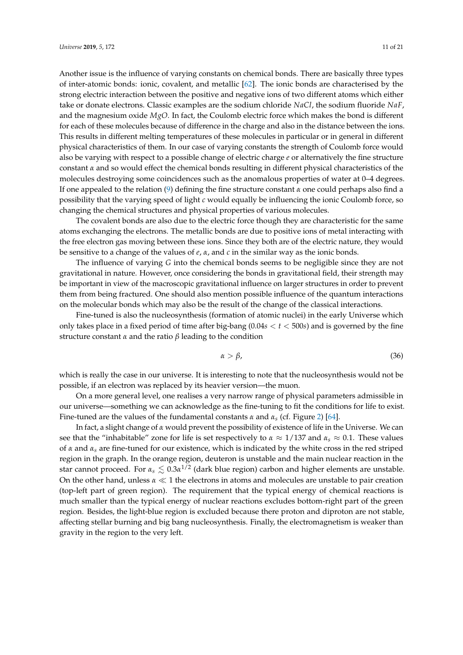Another issue is the influence of varying constants on chemical bonds. There are basically three types of inter-atomic bonds: ionic, covalent, and metallic [\[62\]](#page-19-21). The ionic bonds are characterised by the strong electric interaction between the positive and negative ions of two different atoms which either take or donate electrons. Classic examples are the sodium chloride *NaCl*, the sodium fluoride *NaF*, and the magnesium oxide *MgO*. In fact, the Coulomb electric force which makes the bond is different for each of these molecules because of difference in the charge and also in the distance between the ions. This results in different melting temperatures of these molecules in particular or in general in different physical characteristics of them. In our case of varying constants the strength of Coulomb force would also be varying with respect to a possible change of electric charge *e* or alternatively the fine structure constant *α* and so would effect the chemical bonds resulting in different physical characteristics of the molecules destroying some coincidences such as the anomalous properties of water at 0–4 degrees. If one appealed to the relation [\(9\)](#page-4-3) defining the fine structure constant *α* one could perhaps also find a possibility that the varying speed of light *c* would equally be influencing the ionic Coulomb force, so changing the chemical structures and physical properties of various molecules.

The covalent bonds are also due to the electric force though they are characteristic for the same atoms exchanging the electrons. The metallic bonds are due to positive ions of metal interacting with the free electron gas moving between these ions. Since they both are of the electric nature, they would be sensitive to a change of the values of *e*, *α*, and *c* in the similar way as the ionic bonds.

The influence of varying *G* into the chemical bonds seems to be negligible since they are not gravitational in nature. However, once considering the bonds in gravitational field, their strength may be important in view of the macroscopic gravitational influence on larger structures in order to prevent them from being fractured. One should also mention possible influence of the quantum interactions on the molecular bonds which may also be the result of the change of the classical interactions.

Fine-tuned is also the nucleosynthesis (formation of atomic nuclei) in the early Universe which only takes place in a fixed period of time after big-bang (0.04*s* < *t* < 500*s*) and is governed by the fine structure constant *α* and the ratio *β* leading to the condition

$$
\alpha > \beta,\tag{36}
$$

which is really the case in our universe. It is interesting to note that the nucleosynthesis would not be possible, if an electron was replaced by its heavier version—the muon.

On a more general level, one realises a very narrow range of physical parameters admissible in our universe—something we can acknowledge as the fine-tuning to fit the conditions for life to exist. Fine-tuned are the values of the fundamental constants *α* and *αs* (cf. Figure [2\)](#page-11-0) [\[64\]](#page-19-24).

In fact, a slight change of *α* would prevent the possibility of existence of life in the Universe. We can see that the "inhabitable" zone for life is set respectively to  $\alpha \approx 1/137$  and  $\alpha_s \approx 0.1$ . These values of *α* and *α<sup>s</sup>* are fine-tuned for our existence, which is indicated by the white cross in the red striped region in the graph. In the orange region, deuteron is unstable and the main nuclear reaction in the star cannot proceed. For  $\alpha_s \lesssim 0.3 \alpha^{1/2}$  (dark blue region) carbon and higher elements are unstable. On the other hand, unless  $\alpha \ll 1$  the electrons in atoms and molecules are unstable to pair creation (top-left part of green region). The requirement that the typical energy of chemical reactions is much smaller than the typical energy of nuclear reactions excludes bottom-right part of the green region. Besides, the light-blue region is excluded because there proton and diproton are not stable, affecting stellar burning and big bang nucleosynthesis. Finally, the electromagnetism is weaker than gravity in the region to the very left.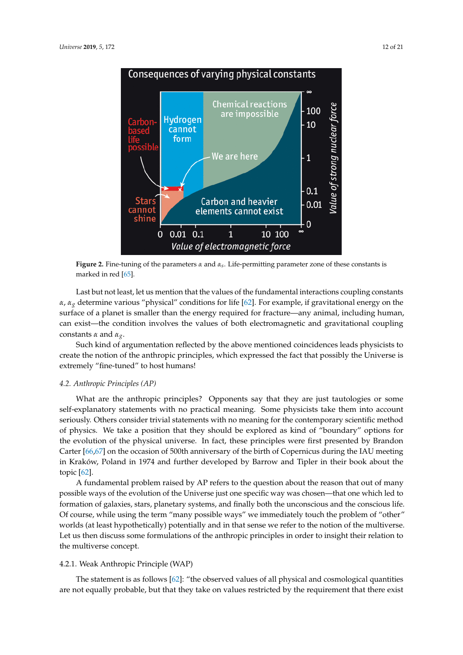<span id="page-11-0"></span>

**Figure 2.** Fine-tuning of the parameters *α* and *αs*. Life-permitting parameter zone of these constants is marked in red [\[65\]](#page-19-25).

Last but not least, let us mention that the values of the fundamental interactions coupling constants *α*, *αg* determine various "physical" conditions for life [\[62\]](#page-19-21). For example, if gravitational energy on the surface of a planet is smaller than the energy required for fracture—any animal, including human, can exist—the condition involves the values of both electromagnetic and gravitational coupling constants *α* and *αg*.

Such kind of argumentation reflected by the above mentioned coincidences leads physicists to create the notion of the anthropic principles, which expressed the fact that possibly the Universe is extremely "fine-tuned" to host humans!

#### *4.2. Anthropic Principles (AP)*

What are the anthropic principles? Opponents say that they are just tautologies or some self-explanatory statements with no practical meaning. Some physicists take them into account seriously. Others consider trivial statements with no meaning for the contemporary scientific method of physics. We take a position that they should be explored as kind of "boundary" options for the evolution of the physical universe. In fact, these principles were first presented by Brandon Carter [\[66](#page-20-0)[,67\]](#page-20-1) on the occasion of 500th anniversary of the birth of Copernicus during the IAU meeting in Kraków, Poland in 1974 and further developed by Barrow and Tipler in their book about the topic [\[62\]](#page-19-21).

A fundamental problem raised by AP refers to the question about the reason that out of many possible ways of the evolution of the Universe just one specific way was chosen—that one which led to formation of galaxies, stars, planetary systems, and finally both the unconscious and the conscious life. Of course, while using the term "many possible ways" we immediately touch the problem of "other" worlds (at least hypothetically) potentially and in that sense we refer to the notion of the multiverse. Let us then discuss some formulations of the anthropic principles in order to insight their relation to the multiverse concept.

# 4.2.1. Weak Anthropic Principle (WAP)

The statement is as follows [\[62\]](#page-19-21): "the observed values of all physical and cosmological quantities are not equally probable, but that they take on values restricted by the requirement that there exist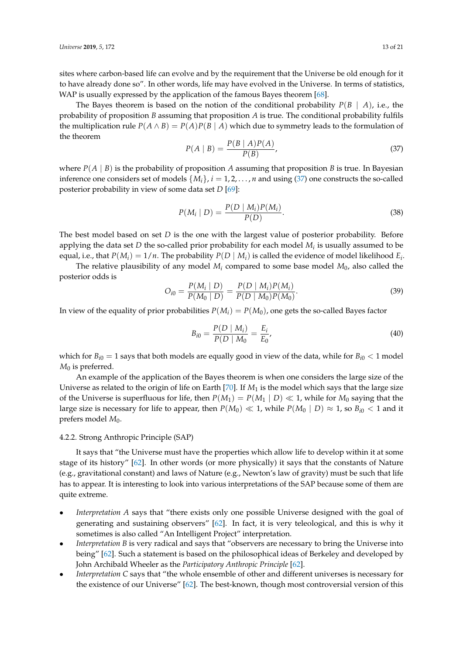sites where carbon-based life can evolve and by the requirement that the Universe be old enough for it to have already done so". In other words, life may have evolved in the Universe. In terms of statistics, WAP is usually expressed by the application of the famous Bayes theorem [\[68\]](#page-20-2).

The Bayes theorem is based on the notion of the conditional probability  $P(B \mid A)$ , i.e., the probability of proposition *B* assuming that proposition *A* is true. The conditional probability fulfils the multiplication rule  $P(A \wedge B) = P(A)P(B | A)$  which due to symmetry leads to the formulation of the theorem

<span id="page-12-0"></span>
$$
P(A \mid B) = \frac{P(B \mid A)P(A)}{P(B)},
$$
\n(37)

where  $P(A | B)$  is the probability of proposition *A* assuming that proposition *B* is true. In Bayesian inference one considers set of models  $\{M_i\}$ ,  $i = 1, 2, ..., n$  and using [\(37\)](#page-12-0) one constructs the so-called posterior probability in view of some data set *D* [\[69\]](#page-20-3):

$$
P(M_i | D) = \frac{P(D | M_i)P(M_i)}{P(D)}.
$$
\n(38)

The best model based on set *D* is the one with the largest value of posterior probability. Before applying the data set *D* the so-called prior probability for each model *M<sup>i</sup>* is usually assumed to be equal, i.e., that  $P(M_i) = 1/n$ . The probability  $P(D \mid M_i)$  is called the evidence of model likelihood  $E_i$ .

The relative plausibility of any model  $M_i$  compared to some base model  $M_0$ , also called the posterior odds is

$$
O_{i0} = \frac{P(M_i \mid D)}{P(M_0 \mid D)} = \frac{P(D \mid M_i)P(M_i)}{P(D \mid M_0)P(M_0)}.
$$
\n(39)

In view of the equality of prior probabilities  $P(M_i) = P(M_0)$ , one gets the so-called Bayes factor

$$
B_{i0} = \frac{P(D \mid M_i)}{P(D \mid M_0)} = \frac{E_i}{E_0},\tag{40}
$$

which for  $B_{i0} = 1$  says that both models are equally good in view of the data, while for  $B_{i0} < 1$  model *M*<sup>0</sup> is preferred.

An example of the application of the Bayes theorem is when one considers the large size of the Universe as related to the origin of life on Earth [\[70\]](#page-20-4). If *M*<sup>1</sup> is the model which says that the large size of the Universe is superfluous for life, then  $P(M_1) = P(M_1 | D) \ll 1$ , while for  $M_0$  saying that the large size is necessary for life to appear, then  $P(M_0) \ll 1$ , while  $P(M_0 | D) \approx 1$ , so  $B_{i0} < 1$  and it prefers model  $M_0$ .

# 4.2.2. Strong Anthropic Principle (SAP)

It says that "the Universe must have the properties which allow life to develop within it at some stage of its history" [\[62\]](#page-19-21). In other words (or more physically) it says that the constants of Nature (e.g., gravitational constant) and laws of Nature (e.g., Newton's law of gravity) must be such that life has to appear. It is interesting to look into various interpretations of the SAP because some of them are quite extreme.

- *Interpretation A* says that "there exists only one possible Universe designed with the goal of generating and sustaining observers" [\[62\]](#page-19-21). In fact, it is very teleological, and this is why it sometimes is also called "An Intelligent Project" interpretation.
- Interpretation B is very radical and says that "observers are necessary to bring the Universe into being" [\[62\]](#page-19-21). Such a statement is based on the philosophical ideas of Berkeley and developed by John Archibald Wheeler as the *Participatory Anthropic Principle* [\[62\]](#page-19-21).
- *Interpretation C* says that "the whole ensemble of other and different universes is necessary for the existence of our Universe" [\[62\]](#page-19-21). The best-known, though most controversial version of this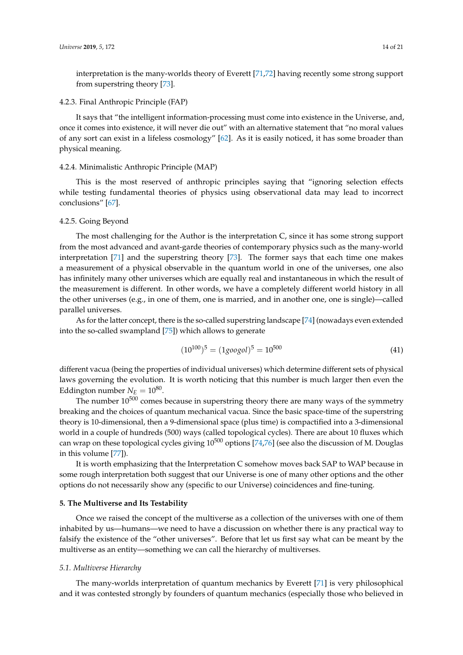interpretation is the many-worlds theory of Everett [\[71,](#page-20-5)[72\]](#page-20-6) having recently some strong support

# 4.2.3. Final Anthropic Principle (FAP)

from superstring theory [\[73\]](#page-20-7).

It says that "the intelligent information-processing must come into existence in the Universe, and, once it comes into existence, it will never die out" with an alternative statement that "no moral values of any sort can exist in a lifeless cosmology" [\[62\]](#page-19-21). As it is easily noticed, it has some broader than physical meaning.

# 4.2.4. Minimalistic Anthropic Principle (MAP)

This is the most reserved of anthropic principles saying that "ignoring selection effects while testing fundamental theories of physics using observational data may lead to incorrect conclusions" [\[67\]](#page-20-1).

# 4.2.5. Going Beyond

The most challenging for the Author is the interpretation C, since it has some strong support from the most advanced and avant-garde theories of contemporary physics such as the many-world interpretation [\[71\]](#page-20-5) and the superstring theory [\[73\]](#page-20-7). The former says that each time one makes a measurement of a physical observable in the quantum world in one of the universes, one also has infinitely many other universes which are equally real and instantaneous in which the result of the measurement is different. In other words, we have a completely different world history in all the other universes (e.g., in one of them, one is married, and in another one, one is single)—called parallel universes.

As for the latter concept, there is the so-called superstring landscape [\[74\]](#page-20-8) (nowadays even extended into the so-called swampland [\[75\]](#page-20-9)) which allows to generate

$$
(10^{100})^5 = (1 \text{good})^5 = 10^{500} \tag{41}
$$

different vacua (being the properties of individual universes) which determine different sets of physical laws governing the evolution. It is worth noticing that this number is much larger then even the Eddington number  $N_E = 10^{80}$ .

The number  $10^{500}$  comes because in superstring theory there are many ways of the symmetry breaking and the choices of quantum mechanical vacua. Since the basic space-time of the superstring theory is 10-dimensional, then a 9-dimensional space (plus time) is compactified into a 3-dimensional world in a couple of hundreds (500) ways (called topological cycles). There are about 10 fluxes which can wrap on these topological cycles giving  $10^{500}$  options [\[74,](#page-20-8)[76\]](#page-20-10) (see also the discussion of M. Douglas in this volume [\[77\]](#page-20-11)).

It is worth emphasizing that the Interpretation C somehow moves back SAP to WAP because in some rough interpretation both suggest that our Universe is one of many other options and the other options do not necessarily show any (specific to our Universe) coincidences and fine-tuning.

#### <span id="page-13-0"></span>**5. The Multiverse and Its Testability**

Once we raised the concept of the multiverse as a collection of the universes with one of them inhabited by us—humans—we need to have a discussion on whether there is any practical way to falsify the existence of the "other universes". Before that let us first say what can be meant by the multiverse as an entity—something we can call the hierarchy of multiverses.

#### *5.1. Multiverse Hierarchy*

The many-worlds interpretation of quantum mechanics by Everett [\[71\]](#page-20-5) is very philosophical and it was contested strongly by founders of quantum mechanics (especially those who believed in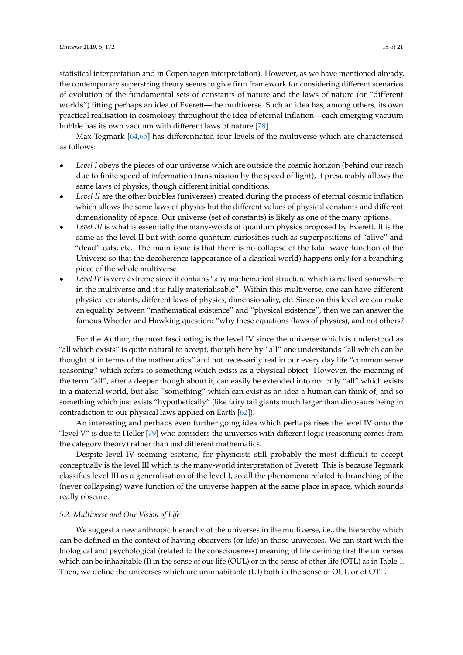statistical interpretation and in Copenhagen interpretation). However, as we have mentioned already, the contemporary superstring theory seems to give firm framework for considering different scenarios of evolution of the fundamental sets of constants of nature and the laws of nature (or "different worlds") fitting perhaps an idea of Everett—the multiverse. Such an idea has, among others, its own practical realisation in cosmology throughout the idea of eternal inflation—each emerging vacuum bubble has its own vacuum with different laws of nature [\[78\]](#page-20-12).

Max Tegmark [\[64,](#page-19-24)[65\]](#page-19-25) has differentiated four levels of the multiverse which are characterised as follows:

- *Level I* obeys the pieces of our universe which are outside the cosmic horizon (behind our reach due to finite speed of information transmission by the speed of light), it presumably allows the same laws of physics, though different initial conditions.
- Level II are the other bubbles (universes) created during the process of eternal cosmic inflation which allows the same laws of physics but the different values of physical constants and different dimensionality of space. Our universe (set of constants) is likely as one of the many options.
- Level III is what is essentially the many-wolds of quantum physics proposed by Everett. It is the same as the level II but with some quantum curiosities such as superpositions of "alive" and "dead" cats, etc. The main issue is that there is no collapse of the total wave function of the Universe so that the decoherence (appearance of a classical world) happens only for a branching piece of the whole multiverse.
- Level IV is very extreme since it contains "any mathematical structure which is realised somewhere in the multiverse and it is fully materialisable". Within this multiverse, one can have different physical constants, different laws of physics, dimensionality, etc. Since on this level we can make an equality between "mathematical existence" and "physical existence", then we can answer the famous Wheeler and Hawking question: "why these equations (laws of physics), and not others?

For the Author, the most fascinating is the level IV since the universe which is understood as "all which exists" is quite natural to accept, though here by "all" one understands "all which can be thought of in terms of the mathematics" and not necessarily real in our every day life "common sense reasoning" which refers to something which exists as a physical object. However, the meaning of the term "all", after a deeper though about it, can easily be extended into not only "all" which exists in a material world, but also "something" which can exist as an idea a human can think of, and so something which just exists "hypothetically" (like fairy tail giants much larger than dinosaurs being in contradiction to our physical laws applied on Earth [\[62\]](#page-19-21)).

An interesting and perhaps even further going idea which perhaps rises the level IV onto the "level V" is due to Heller [\[79\]](#page-20-13) who considers the universes with different logic (reasoning comes from the category theory) rather than just different mathematics.

Despite level IV seeming esoteric, for physicists still probably the most difficult to accept conceptually is the level III which is the many-world interpretation of Everett. This is because Tegmark classifies level III as a generalisation of the level I, so all the phenomena related to branching of the (never collapsing) wave function of the universe happen at the same place in space, which sounds really obscure.

# *5.2. Multiverse and Our Vision of Life*

We suggest a new anthropic hierarchy of the universes in the multiverse, i.e., the hierarchy which can be defined in the context of having observers (or life) in those universes. We can start with the biological and psychological (related to the consciousness) meaning of life defining first the universes which can be inhabitable (I) in the sense of our life (OUL) or in the sense of other life (OTL) as in Table [1.](#page-15-0) Then, we define the universes which are uninhabitable (UI) both in the sense of OUL or of OTL.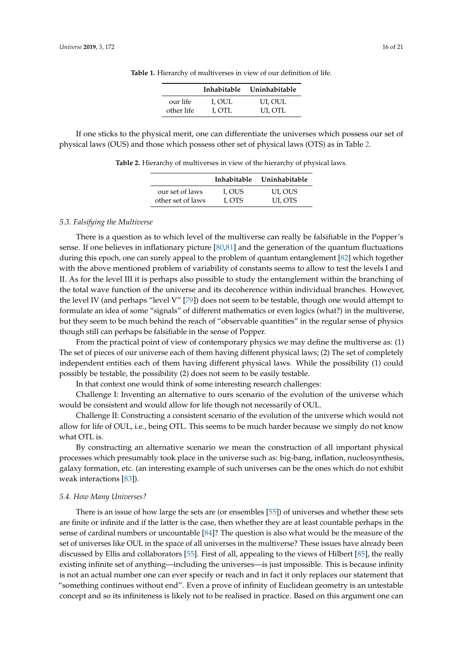|            | <b>Inhabitable</b> | Uninhabitable |
|------------|--------------------|---------------|
| our life   | I, OUL             | UI, OUL       |
| other life | I. OTL             | UI, OTL       |

**Table 1.** Hierarchy of multiverses in view of our definition of life.

<span id="page-15-1"></span><span id="page-15-0"></span>If one sticks to the physical merit, one can differentiate the universes which possess our set of physical laws (OUS) and those which possess other set of physical laws (OTS) as in Table [2.](#page-15-1)

**Table 2.** Hierarchy of multiverses in view of the hierarchy of physical laws.

|                   |        | Inhabitable Uninhabitable |
|-------------------|--------|---------------------------|
| our set of laws   | I, OUS | UI, OUS                   |
| other set of laws | L OTS  | UI, OTS                   |

#### *5.3. Falsifying the Multiverse*

There is a question as to which level of the multiverse can really be falsifiable in the Popper's sense. If one believes in inflationary picture [\[80](#page-20-14)[,81\]](#page-20-15) and the generation of the quantum fluctuations during this epoch, one can surely appeal to the problem of quantum entanglement [\[82\]](#page-20-16) which together with the above mentioned problem of variability of constants seems to allow to test the levels I and II. As for the level III it is perhaps also possible to study the entanglement within the branching of the total wave function of the universe and its decoherence within individual branches. However, the level IV (and perhaps "level V" [\[79\]](#page-20-13)) does not seem to be testable, though one would attempt to formulate an idea of some "signals" of different mathematics or even logics (what?) in the multiverse, but they seem to be much behind the reach of "observable quantities" in the regular sense of physics though still can perhaps be falsifiable in the sense of Popper.

From the practical point of view of contemporary physics we may define the multiverse as: (1) The set of pieces of our universe each of them having different physical laws; (2) The set of completely independent entities each of them having different physical laws. While the possibility (1) could possibly be testable, the possibility (2) does not seem to be easily testable.

In that context one would think of some interesting research challenges:

Challenge I: Inventing an alternative to ours scenario of the evolution of the universe which would be consistent and would allow for life though not necessarily of OUL.

Challenge II: Constructing a consistent scenario of the evolution of the universe which would not allow for life of OUL, i.e., being OTL. This seems to be much harder because we simply do not know what OTL is.

By constructing an alternative scenario we mean the construction of all important physical processes which presumably took place in the universe such as: big-bang, inflation, nucleosynthesis, galaxy formation, etc. (an interesting example of such universes can be the ones which do not exhibit weak interactions [\[83\]](#page-20-17)).

# *5.4. How Many Universes?*

There is an issue of how large the sets are (or ensembles [\[55\]](#page-19-15)) of universes and whether these sets are finite or infinite and if the latter is the case, then whether they are at least countable perhaps in the sense of cardinal numbers or uncountable [\[84\]](#page-20-18)? The question is also what would be the measure of the set of universes like OUL in the space of all universes in the multiverse? These issues have already been discussed by Ellis and collaborators [\[55\]](#page-19-15). First of all, appealing to the views of Hilbert [\[85\]](#page-20-19), the really existing infinite set of anything—including the universes—is just impossible. This is because infinity is not an actual number one can ever specify or reach and in fact it only replaces our statement that "something continues without end". Even a prove of infinity of Euclidean geometry is an untestable concept and so its infiniteness is likely not to be realised in practice. Based on this argument one can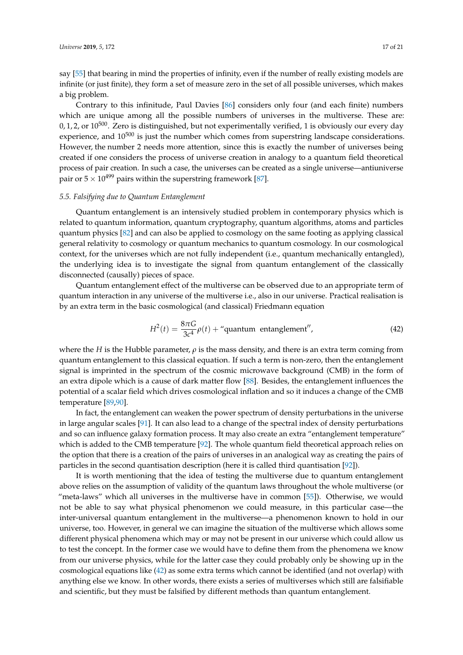say [\[55\]](#page-19-15) that bearing in mind the properties of infinity, even if the number of really existing models are infinite (or just finite), they form a set of measure zero in the set of all possible universes, which makes a big problem.

Contrary to this infinitude, Paul Davies [\[86\]](#page-20-20) considers only four (and each finite) numbers which are unique among all the possible numbers of universes in the multiverse. These are:  $0, 1, 2$ , or  $10^{500}$ . Zero is distinguished, but not experimentally verified, 1 is obviously our every day experience, and  $10^{500}$  is just the number which comes from superstring landscape considerations. However, the number 2 needs more attention, since this is exactly the number of universes being created if one considers the process of universe creation in analogy to a quantum field theoretical process of pair creation. In such a case, the universes can be created as a single universe—antiuniverse pair or  $5 \times 10^{499}$  pairs within the superstring framework [\[87\]](#page-20-21).

# *5.5. Falsifying due to Quantum Entanglement*

Quantum entanglement is an intensively studied problem in contemporary physics which is related to quantum information, quantum cryptography, quantum algorithms, atoms and particles quantum physics [\[82\]](#page-20-16) and can also be applied to cosmology on the same footing as applying classical general relativity to cosmology or quantum mechanics to quantum cosmology. In our cosmological context, for the universes which are not fully independent (i.e., quantum mechanically entangled), the underlying idea is to investigate the signal from quantum entanglement of the classically disconnected (causally) pieces of space.

Quantum entanglement effect of the multiverse can be observed due to an appropriate term of quantum interaction in any universe of the multiverse i.e., also in our universe. Practical realisation is by an extra term in the basic cosmological (and classical) Friedmann equation

<span id="page-16-0"></span>
$$
H^{2}(t) = \frac{8\pi G}{3c^{4}}\rho(t) + \text{``quantum entanglement''},
$$
\n(42)

where the *H* is the Hubble parameter,  $\rho$  is the mass density, and there is an extra term coming from quantum entanglement to this classical equation. If such a term is non-zero, then the entanglement signal is imprinted in the spectrum of the cosmic microwave background (CMB) in the form of an extra dipole which is a cause of dark matter flow [\[88\]](#page-20-22). Besides, the entanglement influences the potential of a scalar field which drives cosmological inflation and so it induces a change of the CMB temperature [\[89,](#page-20-23)[90\]](#page-20-24).

In fact, the entanglement can weaken the power spectrum of density perturbations in the universe in large angular scales  $[91]$ . It can also lead to a change of the spectral index of density perturbations and so can influence galaxy formation process. It may also create an extra "entanglement temperature" which is added to the CMB temperature [\[92\]](#page-20-26). The whole quantum field theoretical approach relies on the option that there is a creation of the pairs of universes in an analogical way as creating the pairs of particles in the second quantisation description (here it is called third quantisation [\[92\]](#page-20-26)).

It is worth mentioning that the idea of testing the multiverse due to quantum entanglement above relies on the assumption of validity of the quantum laws throughout the whole multiverse (or "meta-laws" which all universes in the multiverse have in common [\[55\]](#page-19-15)). Otherwise, we would not be able to say what physical phenomenon we could measure, in this particular case—the inter-universal quantum entanglement in the multiverse—a phenomenon known to hold in our universe, too. However, in general we can imagine the situation of the multiverse which allows some different physical phenomena which may or may not be present in our universe which could allow us to test the concept. In the former case we would have to define them from the phenomena we know from our universe physics, while for the latter case they could probably only be showing up in the cosmological equations like [\(42\)](#page-16-0) as some extra terms which cannot be identified (and not overlap) with anything else we know. In other words, there exists a series of multiverses which still are falsifiable and scientific, but they must be falsified by different methods than quantum entanglement.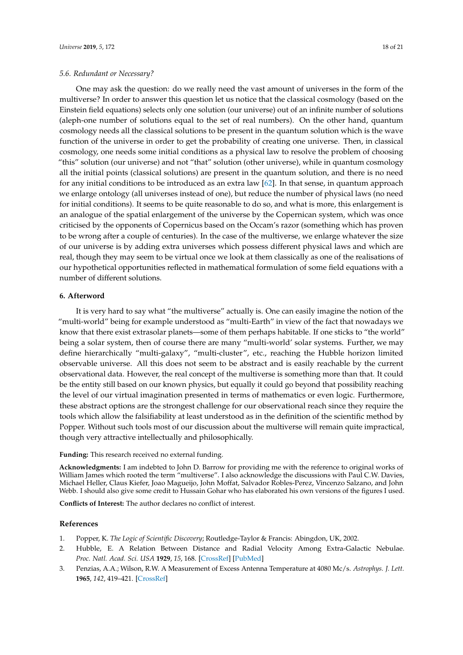# *5.6. Redundant or Necessary?*

One may ask the question: do we really need the vast amount of universes in the form of the multiverse? In order to answer this question let us notice that the classical cosmology (based on the Einstein field equations) selects only one solution (our universe) out of an infinite number of solutions (aleph-one number of solutions equal to the set of real numbers). On the other hand, quantum cosmology needs all the classical solutions to be present in the quantum solution which is the wave function of the universe in order to get the probability of creating one universe. Then, in classical cosmology, one needs some initial conditions as a physical law to resolve the problem of choosing "this" solution (our universe) and not "that" solution (other universe), while in quantum cosmology all the initial points (classical solutions) are present in the quantum solution, and there is no need for any initial conditions to be introduced as an extra law [\[62\]](#page-19-21). In that sense, in quantum approach we enlarge ontology (all universes instead of one), but reduce the number of physical laws (no need for initial conditions). It seems to be quite reasonable to do so, and what is more, this enlargement is an analogue of the spatial enlargement of the universe by the Copernican system, which was once criticised by the opponents of Copernicus based on the Occam's razor (something which has proven to be wrong after a couple of centuries). In the case of the multiverse, we enlarge whatever the size of our universe is by adding extra universes which possess different physical laws and which are real, though they may seem to be virtual once we look at them classically as one of the realisations of our hypothetical opportunities reflected in mathematical formulation of some field equations with a number of different solutions.

# <span id="page-17-3"></span>**6. Afterword**

It is very hard to say what "the multiverse" actually is. One can easily imagine the notion of the "multi-world" being for example understood as "multi-Earth" in view of the fact that nowadays we know that there exist extrasolar planets—some of them perhaps habitable. If one sticks to "the world" being a solar system, then of course there are many "multi-world' solar systems. Further, we may define hierarchically "multi-galaxy", "multi-cluster", etc., reaching the Hubble horizon limited observable universe. All this does not seem to be abstract and is easily reachable by the current observational data. However, the real concept of the multiverse is something more than that. It could be the entity still based on our known physics, but equally it could go beyond that possibility reaching the level of our virtual imagination presented in terms of mathematics or even logic. Furthermore, these abstract options are the strongest challenge for our observational reach since they require the tools which allow the falsifiability at least understood as in the definition of the scientific method by Popper. Without such tools most of our discussion about the multiverse will remain quite impractical, though very attractive intellectually and philosophically.

**Funding:** This research received no external funding.

**Acknowledgments:** I am indebted to John D. Barrow for providing me with the reference to original works of William James which rooted the term "multiverse". I also acknowledge the discussions with Paul C.W. Davies, Michael Heller, Claus Kiefer, Joao Magueijo, John Moffat, Salvador Robles-Perez, Vincenzo Salzano, and John Webb. I should also give some credit to Hussain Gohar who has elaborated his own versions of the figures I used.

**Conflicts of Interest:** The author declares no conflict of interest.

# **References**

- <span id="page-17-0"></span>1. Popper, K. *The Logic of Scientific Discovery*; Routledge-Taylor & Francis: Abingdon, UK, 2002.
- <span id="page-17-1"></span>2. Hubble, E. A Relation Between Distance and Radial Velocity Among Extra-Galactic Nebulae. *Proc. Natl. Acad. Sci. USA* **1929**, *15*, 168. [\[CrossRef\]](http://dx.doi.org/10.1073/pnas.15.3.168) [\[PubMed\]](http://www.ncbi.nlm.nih.gov/pubmed/16577160)
- <span id="page-17-2"></span>3. Penzias, A.A.; Wilson, R.W. A Measurement of Excess Antenna Temperature at 4080 Mc/s. *Astrophys. J. Lett.* **1965**, *142*, 419–421. [\[CrossRef\]](http://dx.doi.org/10.1086/148307)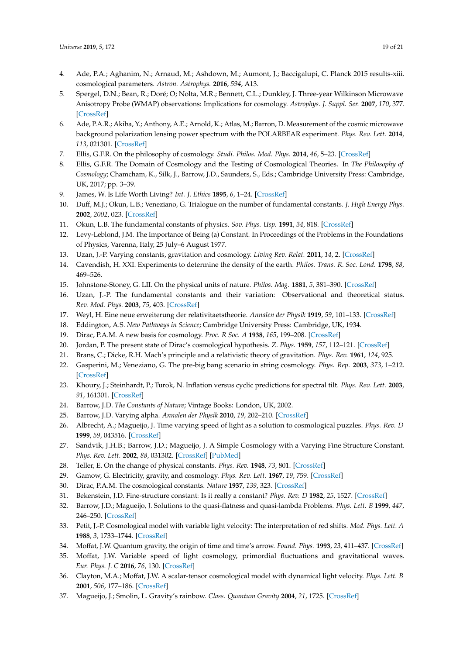- <span id="page-18-0"></span>4. Ade, P.A.; Aghanim, N.; Arnaud, M.; Ashdown, M.; Aumont, J.; Baccigalupi, C. Planck 2015 results-xiii. cosmological parameters. *Astron. Astrophys.* **2016**, *594*, A13.
- <span id="page-18-1"></span>5. Spergel, D.N.; Bean, R.; Doré; O; Nolta, M.R.; Bennett, C.L.; Dunkley, J. Three-year Wilkinson Microwave Anisotropy Probe (WMAP) observations: Implications for cosmology. *Astrophys. J. Suppl. Ser.* **2007**, *170*, 377. [\[CrossRef\]](http://dx.doi.org/10.1086/513700)
- <span id="page-18-2"></span>6. Ade, P.A.R.; Akiba, Y.; Anthony, A.E.; Arnold, K.; Atlas, M.; Barron, D. Measurement of the cosmic microwave background polarization lensing power spectrum with the POLARBEAR experiment. *Phys. Rev. Lett.* **2014**, *113*, 021301. [\[CrossRef\]](http://dx.doi.org/10.1103/PhysRevLett.113.021301)
- <span id="page-18-3"></span>7. Ellis, G.F.R. On the philosophy of cosmology. *Studi. Philos. Mod. Phys.* **2014**, *46*, 5–23. [\[CrossRef\]](http://dx.doi.org/10.1016/j.shpsb.2013.07.006)
- <span id="page-18-4"></span>8. Ellis, G.F.R. The Domain of Cosmology and the Testing of Cosmological Theories. In *The Philosophy of Cosmology*; Chamcham, K., Silk, J., Barrow, J.D., Saunders, S., Eds.; Cambridge University Press: Cambridge, UK, 2017; pp. 3–39.
- <span id="page-18-5"></span>9. James, W. Is Life Worth Living? *Int. J. Ethics* **1895**, *6*, 1–24. [\[CrossRef\]](http://dx.doi.org/10.1086/intejethi.6.1.2375619)
- <span id="page-18-6"></span>10. Duff, M.J.; Okun, L.B.; Veneziano, G. Trialogue on the number of fundamental constants. *J. High Energy Phys.* **2002**, *2002*, 023. [\[CrossRef\]](http://dx.doi.org/10.1088/1126-6708/2002/03/023)
- <span id="page-18-7"></span>11. Okun, L.B. The fundamental constants of physics. *Sov. Phys. Usp.* **1991**, *34*, 818. [\[CrossRef\]](http://dx.doi.org/10.1070/PU1991v034n09ABEH002475)
- <span id="page-18-8"></span>12. Levy-Leblond, J.M. The Importance of Being (a) Constant. In Proceedings of the Problems in the Foundations of Physics, Varenna, Italy, 25 July–6 August 1977.
- <span id="page-18-9"></span>13. Uzan, J.-P. Varying constants, gravitation and cosmology. *Living Rev. Relat.* **2011**, *14*, 2. [\[CrossRef\]](http://dx.doi.org/10.12942/lrr-2011-2)
- <span id="page-18-10"></span>14. Cavendish, H. XXI. Experiments to determine the density of the earth. *Philos. Trans. R. Soc. Lond.* **1798**, *88*, 469–526.
- <span id="page-18-11"></span>15. Johnstone-Stoney, G. LII. On the physical units of nature. *Philos. Mag.* **1881**, *5*, 381–390. [\[CrossRef\]](http://dx.doi.org/10.1080/14786448108627031)
- <span id="page-18-12"></span>16. Uzan, J.-P. The fundamental constants and their variation: Observational and theoretical status. *Rev. Mod. Phys.* **2003**, *75*, 403. [\[CrossRef\]](http://dx.doi.org/10.1103/RevModPhys.75.403)
- <span id="page-18-13"></span>17. Weyl, H. Eine neue erweiterung der relativitaetstheorie. *Annalen der Physik* **1919**, *59*, 101–133. [\[CrossRef\]](http://dx.doi.org/10.1002/andp.19193641002)
- <span id="page-18-14"></span>18. Eddington, A.S. *New Pathways in Science*; Cambridge University Press: Cambridge, UK, 1934.
- <span id="page-18-15"></span>19. Dirac, P.A.M. A new basis for cosmology. *Proc. R Soc. A* **1938**, *165*, 199–208. [\[CrossRef\]](http://dx.doi.org/10.1098/rspa.1938.0053)
- <span id="page-18-16"></span>20. Jordan, P. The present state of Dirac's cosmological hypothesis. *Z. Phys.* **1959**, *157*, 112–121. [\[CrossRef\]](http://dx.doi.org/10.1007/BF01375155)
- <span id="page-18-17"></span>21. Brans, C.; Dicke, R.H. Mach's principle and a relativistic theory of gravitation. *Phys. Rev.* **1961**, *124*, 925.
- <span id="page-18-18"></span>22. Gasperini, M.; Veneziano, G. The pre-big bang scenario in string cosmology. *Phys. Rep.* **2003**, *373*, 1–212. [\[CrossRef\]](http://dx.doi.org/10.1016/S0370-1573(02)00389-7)
- <span id="page-18-19"></span>23. Khoury, J.; Steinhardt, P.; Turok, N. Inflation versus cyclic predictions for spectral tilt. *Phys. Rev. Lett.* **2003**, *91*, 161301. [\[CrossRef\]](http://dx.doi.org/10.1103/PhysRevLett.91.161301)
- <span id="page-18-20"></span>24. Barrow, J.D. *The Constants of Nature*; Vintage Books: London, UK, 2002.
- <span id="page-18-21"></span>25. Barrow, J.D. Varying alpha. *Annalen der Physik* **2010**, *19*, 202–210. [\[CrossRef\]](http://dx.doi.org/10.1002/andp.201010416)
- <span id="page-18-22"></span>26. Albrecht, A.; Magueijo, J. Time varying speed of light as a solution to cosmological puzzles. *Phys. Rev. D* **1999**, *59*, 043516. [\[CrossRef\]](http://dx.doi.org/10.1103/PhysRevD.59.043516)
- <span id="page-18-23"></span>27. Sandvik, J.H.B.; Barrow, J.D.; Magueijo, J. A Simple Cosmology with a Varying Fine Structure Constant. *Phys. Rev. Lett.* **2002**, *88*, 031302. [\[CrossRef\]](http://dx.doi.org/10.1103/PhysRevLett.88.031302) [\[PubMed\]](http://www.ncbi.nlm.nih.gov/pubmed/11801051)
- <span id="page-18-24"></span>28. Teller, E. On the change of physical constants. *Phys. Rev.* **1948**, *73*, 801. [\[CrossRef\]](http://dx.doi.org/10.1103/PhysRev.73.801)
- <span id="page-18-25"></span>29. Gamow, G. Electricity, gravity, and cosmology. *Phys. Rev. Lett.* **1967**, *19*, 759. [\[CrossRef\]](http://dx.doi.org/10.1103/PhysRevLett.19.759)
- <span id="page-18-26"></span>30. Dirac, P.A.M. The cosmological constants. *Nature* **1937**, *139*, 323. [\[CrossRef\]](http://dx.doi.org/10.1038/139323a0)
- <span id="page-18-27"></span>31. Bekenstein, J.D. Fine-structure constant: Is it really a constant? *Phys. Rev. D* **1982**, *25*, 1527. [\[CrossRef\]](http://dx.doi.org/10.1103/PhysRevD.25.1527)
- <span id="page-18-28"></span>32. Barrow, J.D.; Magueijo, J. Solutions to the quasi-flatness and quasi-lambda Problems. *Phys. Lett. B* **1999**, *447*, 246–250. [\[CrossRef\]](http://dx.doi.org/10.1016/S0370-2693(99)00008-8)
- <span id="page-18-29"></span>33. Petit, J.-P. Cosmological model with variable light velocity: The interpretation of red shifts. *Mod. Phys. Lett. A* **1988**, *3*, 1733–1744. [\[CrossRef\]](http://dx.doi.org/10.1142/S0217732388002099)
- <span id="page-18-30"></span>34. Moffat, J.W. Quantum gravity, the origin of time and time's arrow. *Found. Phys.* **1993**, *23*, 411–437. [\[CrossRef\]](http://dx.doi.org/10.1007/BF01883721)
- <span id="page-18-31"></span>35. Moffat, J.W. Variable speed of light cosmology, primordial fluctuations and gravitational waves. *Eur. Phys. J. C* **2016**, *76*, 130. [\[CrossRef\]](http://dx.doi.org/10.1140/epjc/s10052-016-3971-6)
- <span id="page-18-32"></span>36. Clayton, M.A.; Moffat, J.W. A scalar-tensor cosmological model with dynamical light velocity. *Phys. Lett. B* **2001**, *506*, 177–186. [\[CrossRef\]](http://dx.doi.org/10.1016/S0370-2693(01)00414-2)
- <span id="page-18-33"></span>37. Magueijo, J.; Smolin, L. Gravity's rainbow. *Class. Quantum Gravity* **2004**, *21*, 1725. [\[CrossRef\]](http://dx.doi.org/10.1088/0264-9381/21/7/001)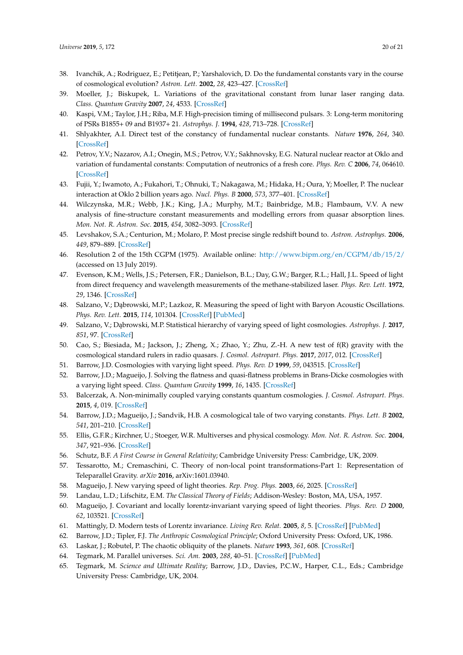- <span id="page-19-0"></span>38. Ivanchik, A.; Rodriguez, E.; Petitjean, P.; Yarshalovich, D. Do the fundamental constants vary in the course of cosmological evolution? *Astron. Lett.* **2002**, *28*, 423–427. [\[CrossRef\]](http://dx.doi.org/10.1134/1.1491963)
- <span id="page-19-1"></span>39. Moeller, J.; Biskupek, L. Variations of the gravitational constant from lunar laser ranging data. *Class. Quantum Gravity* **2007**, *24*, 4533. [\[CrossRef\]](http://dx.doi.org/10.1088/0264-9381/24/17/017)
- <span id="page-19-2"></span>40. Kaspi, V.M.; Taylor, J.H.; Riba, M.F. High-precision timing of millisecond pulsars. 3: Long-term monitoring of PSRs B1855+ 09 and B1937+ 21. *Astrophys. J.* **1994**, *428*, 713–728. [\[CrossRef\]](http://dx.doi.org/10.1086/174280)
- <span id="page-19-3"></span>41. Shlyakhter, A.I. Direct test of the constancy of fundamental nuclear constants. *Nature* **1976**, *264*, 340. [\[CrossRef\]](http://dx.doi.org/10.1038/264340a0)
- 42. Petrov, Y.V.; Nazarov, A.I.; Onegin, M.S.; Petrov, V.Y.; Sakhnovsky, E.G. Natural nuclear reactor at Oklo and variation of fundamental constants: Computation of neutronics of a fresh core. *Phys. Rev. C* **2006**, *74*, 064610. [\[CrossRef\]](http://dx.doi.org/10.1103/PhysRevC.74.064610)
- <span id="page-19-4"></span>43. Fujii, Y.; Iwamoto, A.; Fukahori, T.; Ohnuki, T.; Nakagawa, M.; Hidaka, H.; Oura, Y; Moeller, P. The nuclear interaction at Oklo 2 billion years ago. *Nucl. Phys. B* **2000**, *573*, 377–401. [\[CrossRef\]](http://dx.doi.org/10.1016/S0550-3213(00)00038-9)
- <span id="page-19-5"></span>44. Wilczynska, M.R.; Webb, J.K.; King, J.A.; Murphy, M.T.; Bainbridge, M.B.; Flambaum, V.V. A new analysis of fine-structure constant measurements and modelling errors from quasar absorption lines. *Mon. Not. R. Astron. Soc.* **2015**, *454*, 3082–3093. [\[CrossRef\]](http://dx.doi.org/10.1093/mnras/stv2148)
- <span id="page-19-6"></span>45. Levshakov, S.A.; Centurion, M.; Molaro, P. Most precise single redshift bound to. *Astron. Astrophys.* **2006**, *449*, 879–889. [\[CrossRef\]](http://dx.doi.org/10.1051/0004-6361:20053827)
- <span id="page-19-7"></span>46. Resolution 2 of the 15th CGPM (1975). Available online: <http://www.bipm.org/en/CGPM/db/15/2/> (accessed on 13 July 2019).
- <span id="page-19-8"></span>47. Evenson, K.M.; Wells, J.S.; Petersen, F.R.; Danielson, B.L.; Day, G.W.; Barger, R.L.; Hall, J.L. Speed of light from direct frequency and wavelength measurements of the methane-stabilized laser. *Phys. Rev. Lett.* **1972**, *29*, 1346. [\[CrossRef\]](http://dx.doi.org/10.1103/PhysRevLett.29.1346)
- <span id="page-19-9"></span>48. Salzano, V.; Dąbrowski, M.P.; Lazkoz, R. Measuring the speed of light with Baryon Acoustic Oscillations. *Phys. Rev. Lett.* **2015**, *114*, 101304. [\[CrossRef\]](http://dx.doi.org/10.1103/PhysRevLett.114.101304) [\[PubMed\]](http://www.ncbi.nlm.nih.gov/pubmed/25815922)
- <span id="page-19-10"></span>49. Salzano, V.; Dabrowski, M.P. Statistical hierarchy of varying speed of light cosmologies. Astrophys. J. 2017, *851*, 97. [\[CrossRef\]](http://dx.doi.org/10.3847/1538-4357/aa9cea)
- <span id="page-19-11"></span>50. Cao, S.; Biesiada, M.; Jackson, J.; Zheng, X.; Zhao, Y.; Zhu, Z.-H. A new test of f(R) gravity with the cosmological standard rulers in radio quasars. *J. Cosmol. Astropart. Phys.* **2017**, *2017*, 012. [\[CrossRef\]](http://dx.doi.org/10.1088/1475-7516/2017/02/012)
- <span id="page-19-12"></span>51. Barrow, J.D. Cosmologies with varying light speed. *Phys. Rev. D* **1999**, *59*, 043515. [\[CrossRef\]](http://dx.doi.org/10.1103/PhysRevD.59.043515)
- 52. Barrow, J.D.; Magueijo, J. Solving the flatness and quasi-flatness problems in Brans-Dicke cosmologies with a varying light speed. *Class. Quantum Gravity* **1999**, *16*, 1435. [\[CrossRef\]](http://dx.doi.org/10.1088/0264-9381/16/4/030)
- <span id="page-19-13"></span>53. Balcerzak, A. Non-minimally coupled varying constants quantum cosmologies. *J. Cosmol. Astropart. Phys.* **2015**, *4*, 019. [\[CrossRef\]](http://dx.doi.org/10.1088/1475-7516/2015/04/019)
- <span id="page-19-14"></span>54. Barrow, J.D.; Magueijo, J.; Sandvik, H.B. A cosmological tale of two varying constants. *Phys. Lett. B* **2002**, *541*, 201–210. [\[CrossRef\]](http://dx.doi.org/10.1016/S0370-2693(02)02233-5)
- <span id="page-19-15"></span>55. Ellis, G.F.R.; Kirchner, U.; Stoeger, W.R. Multiverses and physical cosmology. *Mon. Not. R. Astron. Soc.* **2004**, *347*, 921–936. [\[CrossRef\]](http://dx.doi.org/10.1111/j.1365-2966.2004.07261.x)
- <span id="page-19-16"></span>56. Schutz, B.F. *A First Course in General Relativity*; Cambridge University Press: Cambridge, UK, 2009.
- <span id="page-19-17"></span>57. Tessarotto, M.; Cremaschini, C. Theory of non-local point transformations-Part 1: Representation of Teleparallel Gravity. *arXiv* **2016**, arXiv:1601.03940.
- <span id="page-19-23"></span><span id="page-19-18"></span>58. Magueijo, J. New varying speed of light theories. *Rep. Prog. Phys.* **2003**, *66*, 2025. [\[CrossRef\]](http://dx.doi.org/10.1088/0034-4885/66/11/R04)
- 59. Landau, L.D.; Lifschitz, E.M. *The Classical Theory of Fields*; Addison-Wesley: Boston, MA, USA, 1957.
- <span id="page-19-19"></span>60. Magueijo, J. Covariant and locally lorentz-invariant varying speed of light theories. *Phys. Rev. D* **2000**, *62*, 103521. [\[CrossRef\]](http://dx.doi.org/10.1103/PhysRevD.62.103521)
- <span id="page-19-20"></span>61. Mattingly, D. Modern tests of Lorentz invariance. *Living Rev. Relat.* **2005**, *8*, 5. [\[CrossRef\]](http://dx.doi.org/10.12942/lrr-2005-5) [\[PubMed\]](http://www.ncbi.nlm.nih.gov/pubmed/28163649)
- <span id="page-19-21"></span>62. Barrow, J.D.; Tipler, F.J. *The Anthropic Cosmological Principle*; Oxford University Press: Oxford, UK, 1986.
- <span id="page-19-22"></span>63. Laskar, J.; Robutel, P. The chaotic obliquity of the planets. *Nature* **1993**, *361*, 608. [\[CrossRef\]](http://dx.doi.org/10.1038/361608a0)
- <span id="page-19-24"></span>64. Tegmark, M. Parallel universes. *Sci. Am.* **2003**, *288*, 40–51. [\[CrossRef\]](http://dx.doi.org/10.1038/scientificamerican0503-40) [\[PubMed\]](http://www.ncbi.nlm.nih.gov/pubmed/12701329)
- <span id="page-19-25"></span>65. Tegmark, M. *Science and Ultimate Reality*; Barrow, J.D., Davies, P.C.W., Harper, C.L., Eds.; Cambridge University Press: Cambridge, UK, 2004.